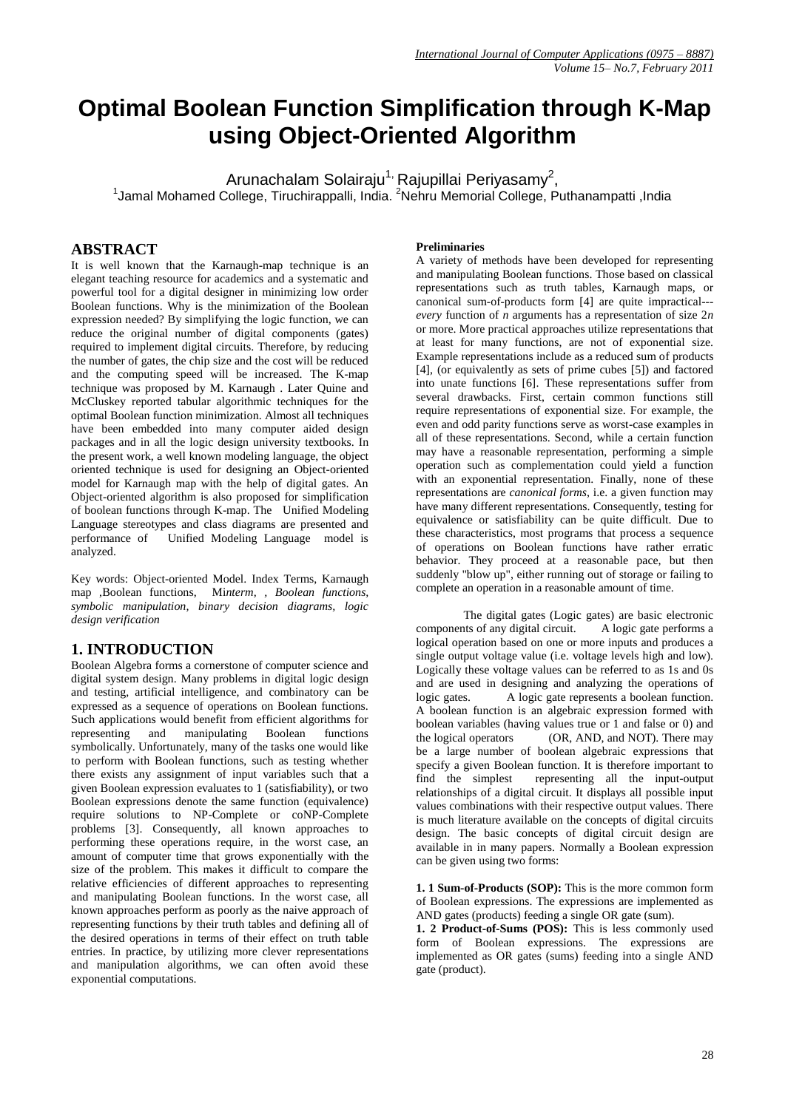# **Optimal Boolean Function Simplification through K-Map using Object-Oriented Algorithm**

Arunachalam Solairaju<sup>1,</sup> Rajupillai Periyasamy<sup>2</sup>, <sup>1</sup>Jamal Mohamed College, Tiruchirappalli, India. <sup>2</sup>Nehru Memorial College, Puthanampatti ,India

## **ABSTRACT**

It is well known that the Karnaugh-map technique is an elegant teaching resource for academics and a systematic and powerful tool for a digital designer in minimizing low order Boolean functions. Why is the minimization of the Boolean expression needed? By simplifying the logic function, we can reduce the original number of digital components (gates) required to implement digital circuits. Therefore, by reducing the number of gates, the chip size and the cost will be reduced and the computing speed will be increased. The K-map technique was proposed by M. Karnaugh . Later Quine and McCluskey reported tabular algorithmic techniques for the optimal Boolean function minimization. Almost all techniques have been embedded into many computer aided design packages and in all the logic design university textbooks. In the present work, a well known modeling language, the object oriented technique is used for designing an Object-oriented model for Karnaugh map with the help of digital gates. An Object-oriented algorithm is also proposed for simplification of boolean functions through K-map. The Unified Modeling Language stereotypes and class diagrams are presented and performance of Unified Modeling Language model is analyzed.

Key words: Object-oriented Model. Index Terms, Karnaugh map ,Boolean functions, Mi*nterm, , Boolean functions, symbolic manipulation, binary decision diagrams, logic design verification*

## **1. INTRODUCTION**

Boolean Algebra forms a cornerstone of computer science and digital system design. Many problems in digital logic design and testing, artificial intelligence, and combinatory can be expressed as a sequence of operations on Boolean functions. Such applications would benefit from efficient algorithms for representing and manipulating Boolean functions symbolically. Unfortunately, many of the tasks one would like to perform with Boolean functions, such as testing whether there exists any assignment of input variables such that a given Boolean expression evaluates to 1 (satisfiability), or two Boolean expressions denote the same function (equivalence) require solutions to NP-Complete or coNP-Complete problems [3]. Consequently, all known approaches to performing these operations require, in the worst case, an amount of computer time that grows exponentially with the size of the problem. This makes it difficult to compare the relative efficiencies of different approaches to representing and manipulating Boolean functions. In the worst case, all known approaches perform as poorly as the naive approach of representing functions by their truth tables and defining all of the desired operations in terms of their effect on truth table entries. In practice, by utilizing more clever representations and manipulation algorithms, we can often avoid these exponential computations.

#### **Preliminaries**

A variety of methods have been developed for representing and manipulating Boolean functions. Those based on classical representations such as truth tables, Karnaugh maps, or canonical sum-of-products form [4] are quite impractical-- *every* function of *n* arguments has a representation of size 2*n*  or more. More practical approaches utilize representations that at least for many functions, are not of exponential size. Example representations include as a reduced sum of products [4], (or equivalently as sets of prime cubes [5]) and factored into unate functions [6]. These representations suffer from several drawbacks. First, certain common functions still require representations of exponential size. For example, the even and odd parity functions serve as worst-case examples in all of these representations. Second, while a certain function may have a reasonable representation, performing a simple operation such as complementation could yield a function with an exponential representation. Finally, none of these representations are *canonical forms*, i.e. a given function may have many different representations. Consequently, testing for equivalence or satisfiability can be quite difficult. Due to these characteristics, most programs that process a sequence of operations on Boolean functions have rather erratic behavior. They proceed at a reasonable pace, but then suddenly "blow up", either running out of storage or failing to complete an operation in a reasonable amount of time.

The digital gates (Logic gates) are basic electronic components of any digital circuit. A logic gate performs a logical operation based on one or more inputs and produces a single output voltage value (i.e. voltage levels high and low). Logically these voltage values can be referred to as 1s and 0s and are used in designing and analyzing the operations of logic gates. A logic gate represents a boolean function. A boolean function is an algebraic expression formed with boolean variables (having values true or 1 and false or 0) and the logical operators (OR, AND, and NOT). There may be a large number of boolean algebraic expressions that specify a given Boolean function. It is therefore important to find the simplest representing all the input-output relationships of a digital circuit. It displays all possible input values combinations with their respective output values. There is much literature available on the concepts of digital circuits design. The basic concepts of digital circuit design are available in in many papers. Normally a Boolean expression can be given using two forms:

**1. 1 Sum-of-Products (SOP):** This is the more common form of Boolean expressions. The expressions are implemented as AND gates (products) feeding a single OR gate (sum).

**1. 2 Product-of-Sums (POS):** This is less commonly used form of Boolean expressions. The expressions are implemented as OR gates (sums) feeding into a single AND gate (product).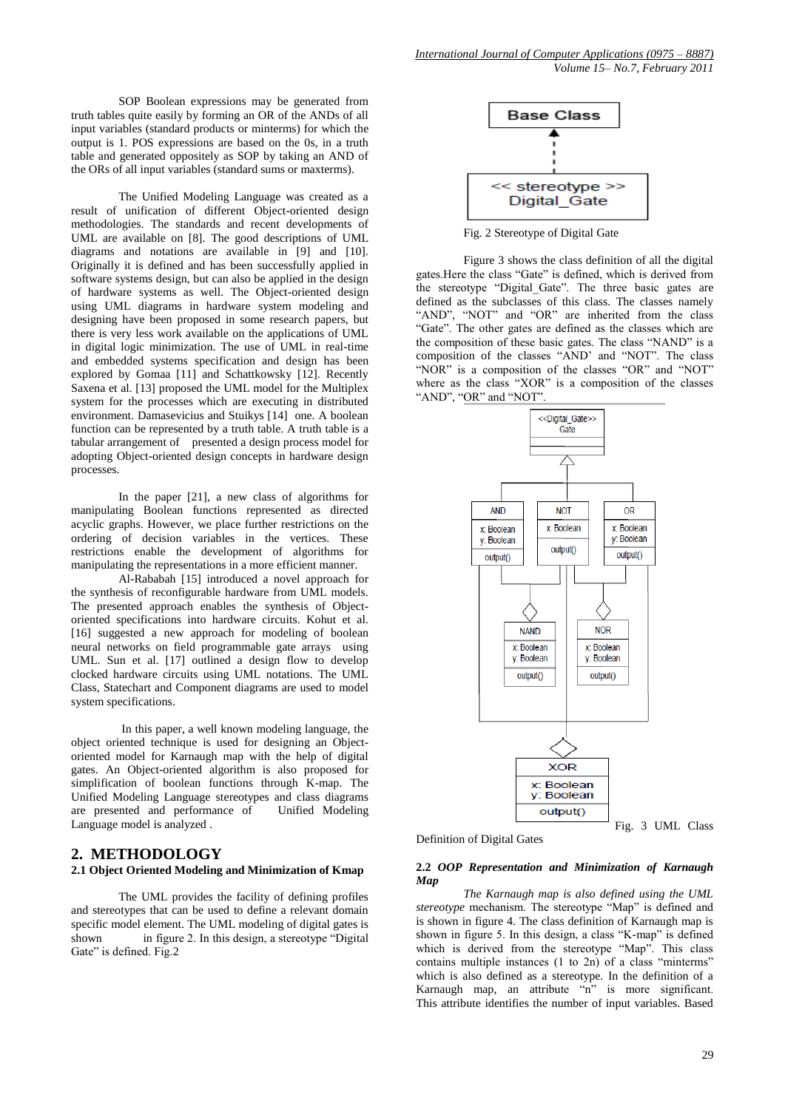SOP Boolean expressions may be generated from truth tables quite easily by forming an OR of the ANDs of all input variables (standard products or minterms) for which the output is 1. POS expressions are based on the 0s, in a truth table and generated oppositely as SOP by taking an AND of the ORs of all input variables (standard sums or maxterms).

 The Unified Modeling Language was created as a result of unification of different Object-oriented design methodologies. The standards and recent developments of UML are available on [8]. The good descriptions of UML diagrams and notations are available in [9] and [10]. Originally it is defined and has been successfully applied in software systems design, but can also be applied in the design of hardware systems as well. The Object-oriented design using UML diagrams in hardware system modeling and designing have been proposed in some research papers, but there is very less work available on the applications of UML in digital logic minimization. The use of UML in real-time and embedded systems specification and design has been explored by Gomaa [11] and Schattkowsky [12]. Recently Saxena et al. [13] proposed the UML model for the Multiplex system for the processes which are executing in distributed environment. Damasevicius and Stuikys [14] one. A boolean function can be represented by a truth table. A truth table is a tabular arrangement of presented a design process model for adopting Object-oriented design concepts in hardware design processes.

In the paper [21], a new class of algorithms for manipulating Boolean functions represented as directed acyclic graphs. However, we place further restrictions on the ordering of decision variables in the vertices. These restrictions enable the development of algorithms for manipulating the representations in a more efficient manner.

Al-Rababah [15] introduced a novel approach for the synthesis of reconfigurable hardware from UML models. The presented approach enables the synthesis of Objectoriented specifications into hardware circuits. Kohut et al. [16] suggested a new approach for modeling of boolean neural networks on field programmable gate arrays using UML. Sun et al. [17] outlined a design flow to develop clocked hardware circuits using UML notations. The UML Class, Statechart and Component diagrams are used to model system specifications.

In this paper, a well known modeling language, the object oriented technique is used for designing an Objectoriented model for Karnaugh map with the help of digital gates. An Object-oriented algorithm is also proposed for simplification of boolean functions through K-map. The Unified Modeling Language stereotypes and class diagrams are presented and performance of Unified Modeling Language model is analyzed .

## **2. METHODOLOGY**

#### **2.1 Object Oriented Modeling and Minimization of Kmap**

The UML provides the facility of defining profiles and stereotypes that can be used to define a relevant domain specific model element. The UML modeling of digital gates is shown in figure 2. In this design, a stereotype "Digital Gate" is defined. Fig.2



Fig. 2 Stereotype of Digital Gate

 Figure 3 shows the class definition of all the digital gates.Here the class "Gate" is defined, which is derived from the stereotype "Digital\_Gate". The three basic gates are defined as the subclasses of this class. The classes namely "AND", "NOT" and "OR" are inherited from the class "Gate". The other gates are defined as the classes which are the composition of these basic gates. The class "NAND" is a composition of the classes "AND" and "NOT". The class "NOR" is a composition of the classes "OR" and "NOT" where as the class "XOR" is a composition of the classes "AND", "OR" and "NOT".



Definition of Digital Gates

#### **2.2** *OOP Representation and Minimization of Karnaugh Map*

*The Karnaugh map is also defined using the UML stereotype* mechanism. The stereotype "Map" is defined and is shown in figure 4. The class definition of Karnaugh map is shown in figure 5. In this design, a class "K-map" is defined which is derived from the stereotype "Map". This class contains multiple instances (1 to 2n) of a class "minterms" which is also defined as a stereotype. In the definition of a Karnaugh map, an attribute "n" is more significant. This attribute identifies the number of input variables. Based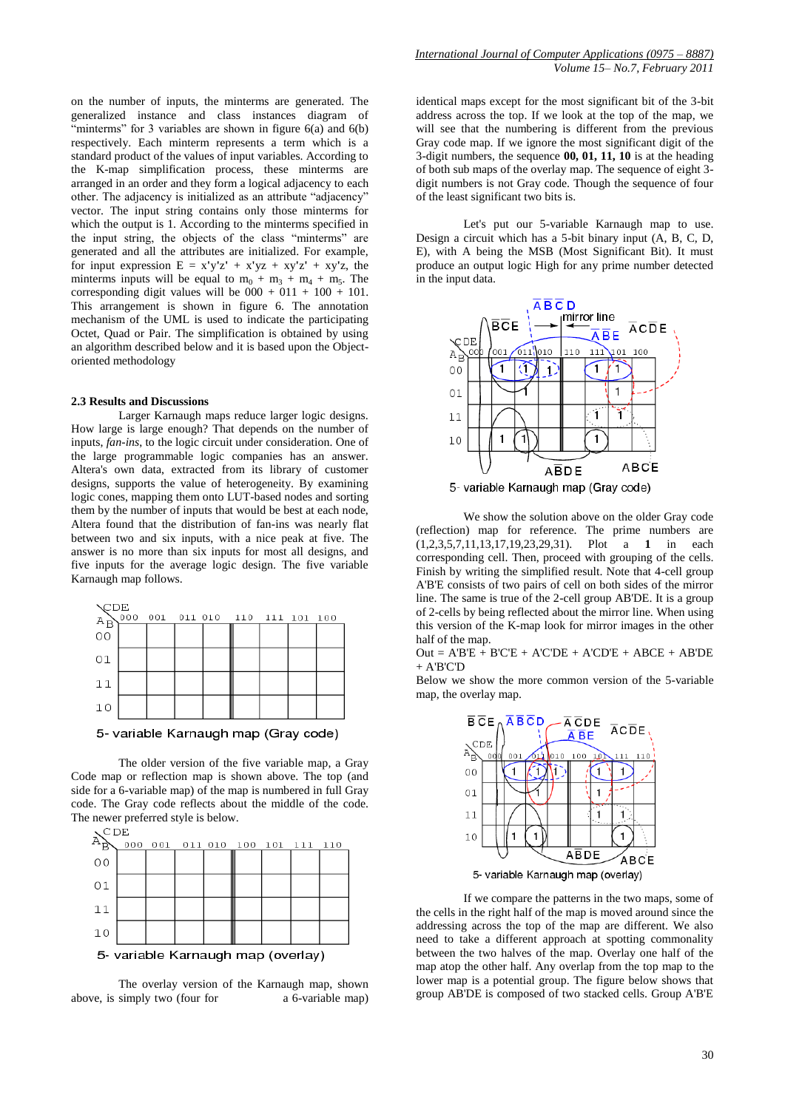on the number of inputs, the minterms are generated. The generalized instance and class instances diagram of "minterms" for 3 variables are shown in figure  $6(a)$  and  $6(b)$ respectively. Each minterm represents a term which is a standard product of the values of input variables. According to the K-map simplification process, these minterms are arranged in an order and they form a logical adjacency to each other. The adjacency is initialized as an attribute "adjacency" vector. The input string contains only those minterms for which the output is 1. According to the minterms specified in the input string, the objects of the class "minterms" are generated and all the attributes are initialized. For example, for input expression  $E = x'y'z' + x'yz + xy'z' + xy'z$ , the minterms inputs will be equal to  $m_0 + m_3 + m_4 + m_5$ . The corresponding digit values will be  $000 + 011 + 100 + 101$ . This arrangement is shown in figure 6. The annotation mechanism of the UML is used to indicate the participating Octet, Quad or Pair. The simplification is obtained by using an algorithm described below and it is based upon the Objectoriented methodology

#### **2.3 Results and Discussions**

Larger Karnaugh maps reduce larger logic designs. How large is large enough? That depends on the number of inputs, *fan-ins*, to the logic circuit under consideration. One of the large programmable logic companies has an answer. Altera's own data, extracted from its library of customer designs, supports the value of heterogeneity. By examining logic cones, mapping them onto LUT-based nodes and sorting them by the number of inputs that would be best at each node, Altera found that the distribution of fan-ins was nearly flat between two and six inputs, with a nice peak at five. The answer is no more than six inputs for most all designs, and five inputs for the average logic design. The five variable Karnaugh map follows.



5- variable Karnaugh map (Gray code)

The older version of the five variable map, a Gray Code map or reflection map is shown above. The top (and side for a 6-variable map) of the map is numbered in full Gray code. The Gray code reflects about the middle of the code. The newer preferred style is below.



The overlay version of the Karnaugh map, shown above, is simply two (four for a 6-variable map)

identical maps except for the most significant bit of the 3-bit address across the top. If we look at the top of the map, we will see that the numbering is different from the previous Gray code map. If we ignore the most significant digit of the 3-digit numbers, the sequence **00, 01, 11, 10** is at the heading of both sub maps of the overlay map. The sequence of eight 3 digit numbers is not Gray code. Though the sequence of four of the least significant two bits is.

Let's put our 5-variable Karnaugh map to use. Design a circuit which has a 5-bit binary input (A, B, C, D, E), with A being the MSB (Most Significant Bit). It must produce an output logic High for any prime number detected in the input data.



We show the solution above on the older Gray code (reflection) map for reference. The prime numbers are (1,2,3,5,7,11,13,17,19,23,29,31). Plot a **1** in each corresponding cell. Then, proceed with grouping of the cells. Finish by writing the simplified result. Note that 4-cell group A'B'E consists of two pairs of cell on both sides of the mirror line. The same is true of the 2-cell group AB'DE. It is a group of 2-cells by being reflected about the mirror line. When using this version of the K-map look for mirror images in the other half of the map.

 $Out = A'BE + B'CE + A'C'DE + A'CD'E + ABCE + AB'DE$  $+$  A'B'C'D

Below we show the more common version of the 5-variable map, the overlay map.



If we compare the patterns in the two maps, some of the cells in the right half of the map is moved around since the addressing across the top of the map are different. We also need to take a different approach at spotting commonality between the two halves of the map. Overlay one half of the map atop the other half. Any overlap from the top map to the lower map is a potential group. The figure below shows that group AB'DE is composed of two stacked cells. Group A'B'E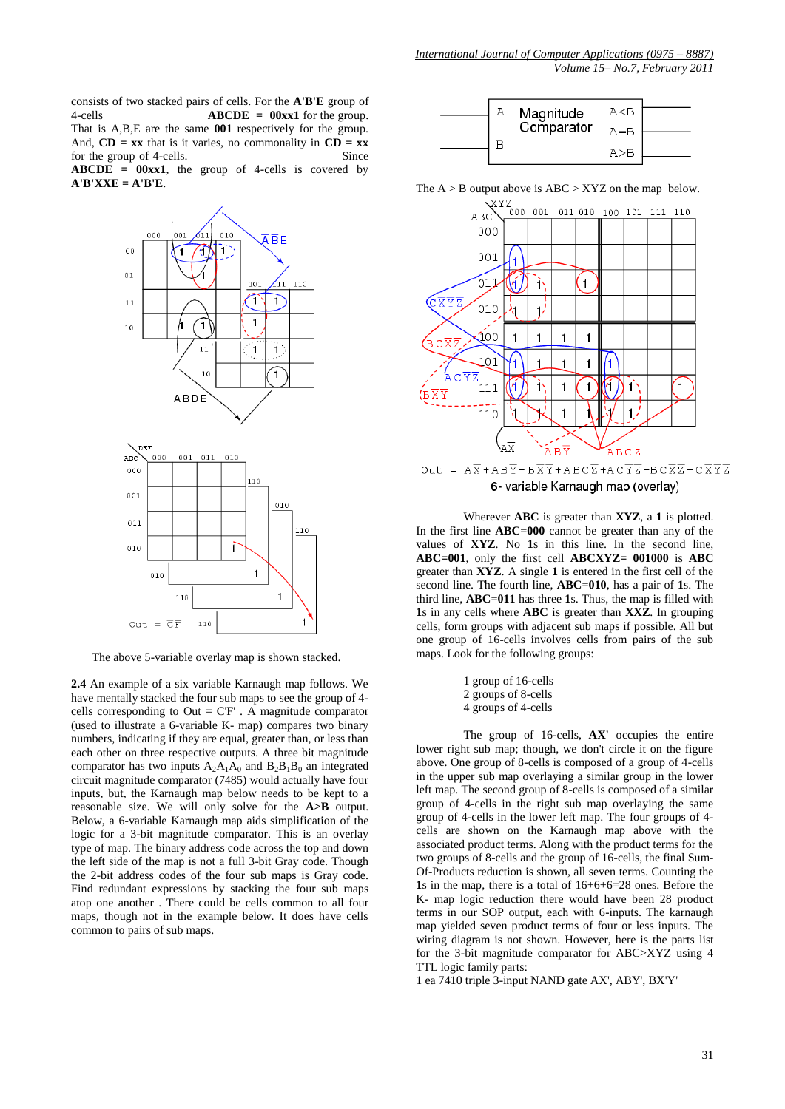consists of two stacked pairs of cells. For the **A'B'E** group of 4-cells **ABCDE = 00xx1** for the group. That is A,B,E are the same **001** respectively for the group. And,  $CD = xx$  that is it varies, no commonality in  $CD = xx$ for the group of 4-cells. Since  $\bf ABCDE = 00xx1$ , the group of 4-cells is covered by **A'B'XXE = A'B'E**.



The above 5-variable overlay map is shown stacked.

**2.4** An example of a six variable Karnaugh map follows. We have mentally stacked the four sub maps to see the group of 4 cells corresponding to Out = C'F' . A magnitude comparator (used to illustrate a 6-variable K- map) compares two binary numbers, indicating if they are equal, greater than, or less than each other on three respective outputs. A three bit magnitude comparator has two inputs  $A_2A_1A_0$  and  $B_2B_1B_0$  an integrated circuit magnitude comparator (7485) would actually have four inputs, but, the Karnaugh map below needs to be kept to a reasonable size. We will only solve for the **A>B** output. Below, a 6-variable Karnaugh map aids simplification of the logic for a 3-bit magnitude comparator. This is an overlay type of map. The binary address code across the top and down the left side of the map is not a full 3-bit Gray code. Though the 2-bit address codes of the four sub maps is Gray code. Find redundant expressions by stacking the four sub maps atop one another . There could be cells common to all four maps, though not in the example below. It does have cells common to pairs of sub maps.



The  $A > B$  output above is  $ABC > XYZ$  on the map below.



Out =  $A\overline{X}$  +  $AB\overline{Y}$  +  $B\overline{X}\overline{Y}$  +  $AB\overline{C}\overline{Z}$  +  $AC\overline{Y}\overline{Z}$  +  $BC\overline{X}\overline{Z}$  +  $C\overline{X}\overline{Y}\overline{Z}$ 6- variable Karnaugh map (overlay)

 Wherever **ABC** is greater than **XYZ**, a **1** is plotted. In the first line **ABC=000** cannot be greater than any of the values of **XYZ**. No **1**s in this line. In the second line, **ABC=001**, only the first cell **ABCXYZ= 001000** is **ABC** greater than **XYZ**. A single **1** is entered in the first cell of the second line. The fourth line, **ABC=010**, has a pair of **1**s. The third line, **ABC=011** has three **1**s. Thus, the map is filled with **1**s in any cells where **ABC** is greater than **XXZ**. In grouping cells, form groups with adjacent sub maps if possible. All but one group of 16-cells involves cells from pairs of the sub maps. Look for the following groups:

> 1 group of 16-cells 2 groups of 8-cells 4 groups of 4-cells

 The group of 16-cells, **AX'** occupies the entire lower right sub map; though, we don't circle it on the figure above. One group of 8-cells is composed of a group of 4-cells in the upper sub map overlaying a similar group in the lower left map. The second group of 8-cells is composed of a similar group of 4-cells in the right sub map overlaying the same group of 4-cells in the lower left map. The four groups of 4 cells are shown on the Karnaugh map above with the associated product terms. Along with the product terms for the two groups of 8-cells and the group of 16-cells, the final Sum-Of-Products reduction is shown, all seven terms. Counting the **1**s in the map, there is a total of 16+6+6=28 ones. Before the K- map logic reduction there would have been 28 product terms in our SOP output, each with 6-inputs. The karnaugh map yielded seven product terms of four or less inputs. The wiring diagram is not shown. However, here is the parts list for the 3-bit magnitude comparator for ABC>XYZ using 4 TTL logic family parts:

1 ea 7410 triple 3-input NAND gate AX', ABY', BX'Y'